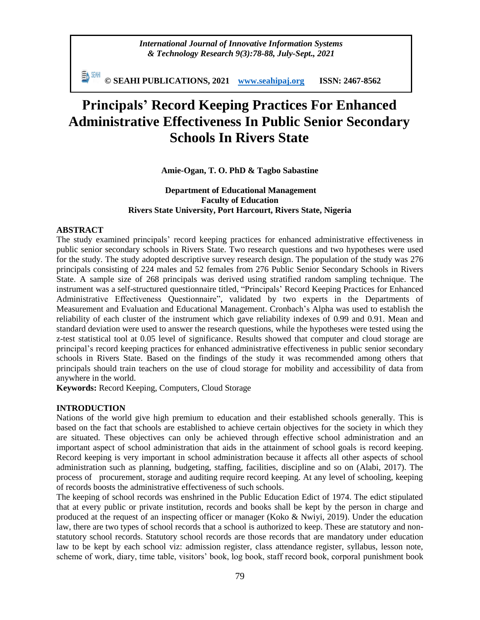*International Journal of Innovative Information Systems & Technology Research 9(3):78-88, July-Sept., 2021*

動細 **© SEAHI PUBLICATIONS, 2021 [www.seahipaj.org](http://www.seahipaj.org/) ISSN: 2467-8562**

# **Principals' Record Keeping Practices For Enhanced Administrative Effectiveness In Public Senior Secondary Schools In Rivers State**

**Amie-Ogan, T. O. PhD & Tagbo Sabastine**

# **Department of Educational Management Faculty of Education Rivers State University, Port Harcourt, Rivers State, Nigeria**

## **ABSTRACT**

The study examined principals' record keeping practices for enhanced administrative effectiveness in public senior secondary schools in Rivers State. Two research questions and two hypotheses were used for the study. The study adopted descriptive survey research design. The population of the study was 276 principals consisting of 224 males and 52 females from 276 Public Senior Secondary Schools in Rivers State. A sample size of 268 principals was derived using stratified random sampling technique. The instrument was a self-structured questionnaire titled, "Principals' Record Keeping Practices for Enhanced Administrative Effectiveness Questionnaire", validated by two experts in the Departments of Measurement and Evaluation and Educational Management. Cronbach's Alpha was used to establish the reliability of each cluster of the instrument which gave reliability indexes of 0.99 and 0.91. Mean and standard deviation were used to answer the research questions, while the hypotheses were tested using the z-test statistical tool at 0.05 level of significance. Results showed that computer and cloud storage are principal's record keeping practices for enhanced administrative effectiveness in public senior secondary schools in Rivers State. Based on the findings of the study it was recommended among others that principals should train teachers on the use of cloud storage for mobility and accessibility of data from anywhere in the world.

**Keywords:** Record Keeping, Computers, Cloud Storage

# **INTRODUCTION**

Nations of the world give high premium to education and their established schools generally. This is based on the fact that schools are established to achieve certain objectives for the society in which they are situated. These objectives can only be achieved through effective school administration and an important aspect of school administration that aids in the attainment of school goals is record keeping. Record keeping is very important in school administration because it affects all other aspects of school administration such as planning, budgeting, staffing, facilities, discipline and so on (Alabi, 2017). The process of procurement, storage and auditing require record keeping. At any level of schooling, keeping of records boosts the administrative effectiveness of such schools.

The keeping of school records was enshrined in the Public Education Edict of 1974. The edict stipulated that at every public or private institution, records and books shall be kept by the person in charge and produced at the request of an inspecting officer or manager (Koko & Nwiyi, 2019). Under the education law, there are two types of school records that a school is authorized to keep. These are statutory and nonstatutory school records. Statutory school records are those records that are mandatory under education law to be kept by each school viz: admission register, class attendance register, syllabus, lesson note, scheme of work, diary, time table, visitors' book, log book, staff record book, corporal punishment book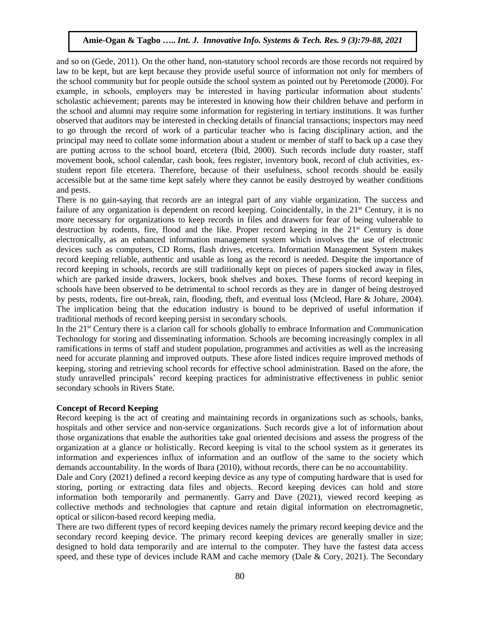and so on (Gede, 2011). On the other hand, non-statutory school records are those records not required by law to be kept, but are kept because they provide useful source of information not only for members of the school community but for people outside the school system as pointed out by Peretomode (2000). For example, in schools, employers may be interested in having particular information about students' scholastic achievement; parents may be interested in knowing how their children behave and perform in the school and alumni may require some information for registering in tertiary institutions. It was further observed that auditors may be interested in checking details of financial transactions; inspectors may need to go through the record of work of a particular teacher who is facing disciplinary action, and the principal may need to collate some information about a student or member of staff to back up a case they are putting across to the school board, etcetera (Ibid, 2000). Such records include duty roaster, staff movement book, school calendar, cash book, fees register, inventory book, record of club activities, exstudent report file etcetera. Therefore, because of their usefulness, school records should be easily accessible but at the same time kept safely where they cannot be easily destroyed by weather conditions and pests.

There is no gain-saying that records are an integral part of any viable organization. The success and failure of any organization is dependent on record keeping. Coincidentally, in the  $21<sup>st</sup>$  Century, it is no more necessary for organizations to keep records in files and drawers for fear of being vulnerable to destruction by rodents, fire, flood and the like. Proper record keeping in the 21<sup>st</sup> Century is done electronically, as an enhanced information management system which involves the use of electronic devices such as computers, CD Roms, flash drives, etcetera. Information Management System makes record keeping reliable, authentic and usable as long as the record is needed. Despite the importance of record keeping in schools, records are still traditionally kept on pieces of papers stocked away in files, which are parked inside drawers, lockers, book shelves and boxes. These forms of record keeping in schools have been observed to be detrimental to school records as they are in danger of being destroyed by pests, rodents, fire out-break, rain, flooding, theft, and eventual loss (Mcleod, Hare & Johare, 2004). The implication being that the education industry is bound to be deprived of useful information if traditional methods of record keeping persist in secondary schools.

In the 21<sup>st</sup> Century there is a clarion call for schools globally to embrace Information and Communication Technology for storing and disseminating information. Schools are becoming increasingly complex in all ramifications in terms of staff and student population, programmes and activities as well as the increasing need for accurate planning and improved outputs. These afore listed indices require improved methods of keeping, storing and retrieving school records for effective school administration. Based on the afore, the study unravelled principals' record keeping practices for administrative effectiveness in public senior secondary schools in Rivers State.

### **Concept of Record Keeping**

Record keeping is the act of creating and maintaining records in organizations such as schools, banks, hospitals and other service and non-service organizations. Such records give a lot of information about those organizations that enable the authorities take goal oriented decisions and assess the progress of the organization at a glance or holistically. Record keeping is vital to the school system as it generates its information and experiences influx of information and an outflow of the same to the society which demands accountability. In the words of Ibara (2010), without records, there can be no accountability.

Dale and Cory (2021) defined a record keeping device as any type of computing hardware that is used for storing, porting or extracting data files and objects. Record keeping devices can hold and store information both temporarily and permanently. [Garry](https://www.techtarget.com/contributor/Garry-Kranz) and Dave (2021), viewed record keeping as collective methods and technologies that capture and retain digital information on electromagnetic, optical or silicon-based [record keeping media.](https://searchstorage.techtarget.com/definition/storage-medium)

There are two different types of record keeping devices namely the primary record keeping device and the secondary record keeping device. The primary record keeping devices are generally smaller in size; designed to hold data temporarily and are internal to the computer. They have the fastest data access speed, and these type of devices include RAM and cache memory (Dale  $&$  Cory, 2021). The Secondary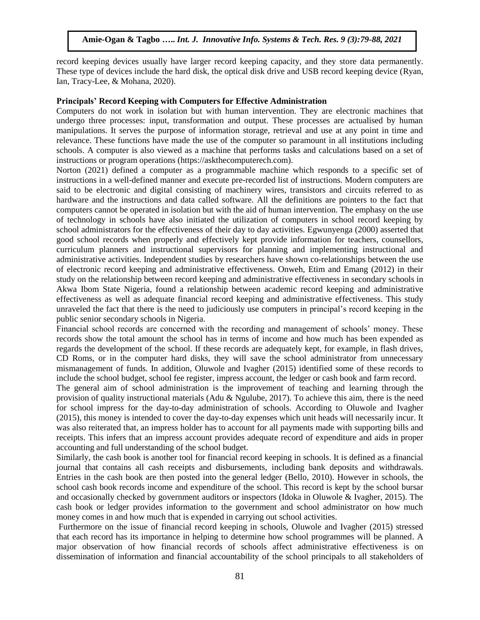record keeping devices usually have larger record keeping capacity, and they store data permanently. These type of devices include the hard disk, the optical disk drive and USB record keeping device (Ryan, Ian, Tracy-Lee, & Mohana, 2020).

#### **Principals' Record Keeping with Computers for Effective Administration**

Computers do not work in isolation but with human intervention. They are electronic machines that undergo three processes: input, transformation and output. These processes are actualised by human manipulations. It serves the purpose of information storage, retrieval and use at any point in time and relevance. These functions have made the use of the computer so paramount in all institutions including schools. A computer is also viewed as a machine that performs tasks and calculations based on a set of instructions or program operations [\(https://askthecomputerech.com\)](https://askthecomputerech.com/).

Norton (2021) defined a computer as a programmable machine which responds to a specific set of instructions in a well-defined manner and execute pre-recorded list of instructions. Modern computers are said to be electronic and digital consisting of machinery wires, transistors and circuits referred to as hardware and the instructions and data called software. All the definitions are pointers to the fact that computers cannot be operated in isolation but with the aid of human intervention. The emphasy on the use of technology in schools have also initiated the utilization of computers in school record keeping by school administrators for the effectiveness of their day to day activities. Egwunyenga (2000) asserted that good school records when properly and effectively kept provide information for teachers, counsellors, curriculum planners and instructional supervisors for planning and implementing instructional and administrative activities. Independent studies by researchers have shown co-relationships between the use of electronic record keeping and administrative effectiveness. Onweh, Etim and Emang (2012) in their study on the relationship between record keeping and administrative effectiveness in secondary schools in Akwa Ibom State Nigeria, found a relationship between academic record keeping and administrative effectiveness as well as adequate financial record keeping and administrative effectiveness. This study unraveled the fact that there is the need to judiciously use computers in principal's record keeping in the public senior secondary schools in Nigeria.

Financial school records are concerned with the recording and management of schools' money. These records show the total amount the school has in terms of income and how much has been expended as regards the development of the school. If these records are adequately kept, for example, in flash drives, CD Roms, or in the computer hard disks, they will save the school administrator from unnecessary mismanagement of funds. In addition, Oluwole and Ivagher (2015) identified some of these records to include the school budget, school fee register, impress account, the ledger or cash book and farm record.

The general aim of school administration is the improvement of teaching and learning through the provision of quality instructional materials (Adu & Ngulube, 2017). To achieve this aim, there is the need for school impress for the day-to-day administration of schools. According to Oluwole and Ivagher (2015), this money is intended to cover the day-to-day expenses which unit heads will necessarily incur. It was also reiterated that, an impress holder has to account for all payments made with supporting bills and receipts. This infers that an impress account provides adequate record of expenditure and aids in proper accounting and full understanding of the school budget.

Similarly, the cash book is another tool for financial record keeping in schools. It is defined as a financial journal that contains all cash receipts and disbursements, including bank deposits and withdrawals. Entries in the cash book are then posted into the general ledger (Bello, 2010). However in schools, the school cash book records income and expenditure of the school. This record is kept by the school bursar and occasionally checked by government auditors or inspectors (Idoka in Oluwole & Ivagher, 2015). The cash book or ledger provides information to the government and school administrator on how much money comes in and how much that is expended in carrying out school activities.

Furthermore on the issue of financial record keeping in schools, Oluwole and Ivagher (2015) stressed that each record has its importance in helping to determine how school programmes will be planned. A major observation of how financial records of schools affect administrative effectiveness is on dissemination of information and financial accountability of the school principals to all stakeholders of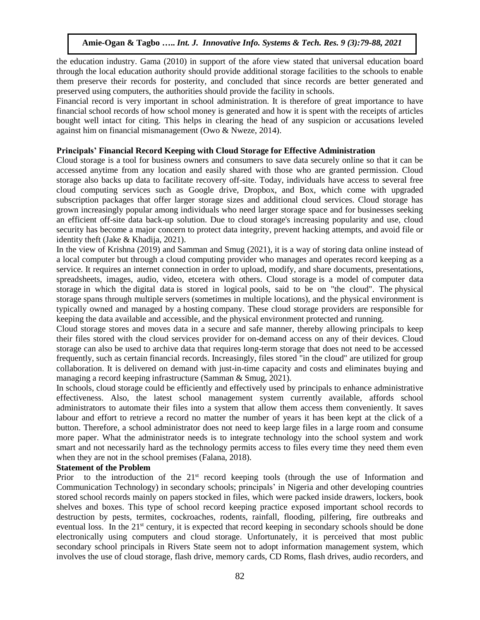the education industry. Gama (2010) in support of the afore view stated that universal education board through the local education authority should provide additional storage facilities to the schools to enable them preserve their records for posterity, and concluded that since records are better generated and preserved using computers, the authorities should provide the facility in schools.

Financial record is very important in school administration. It is therefore of great importance to have financial school records of how school money is generated and how it is spent with the receipts of articles bought well intact for citing. This helps in clearing the head of any suspicion or accusations leveled against him on financial mismanagement (Owo & Nweze, 2014).

# **Principals' Financial Record Keeping with Cloud Storage for Effective Administration**

Cloud storage is a tool for business owners and consumers to save data securely online so that it can be accessed anytime from any location and easily shared with those who are granted permission. Cloud storage also backs up data to facilitate recovery off-site. Today, individuals have access to several free cloud computing services such as Google drive, Dropbox, and Box, which come with upgraded subscription packages that offer larger storage sizes and additional cloud services. Cloud storage has grown increasingly popular among individuals who need larger storage space and for businesses seeking an efficient off-site data back-up solution. Due to cloud storage's increasing popularity and use, cloud security has become a major concern to protect data integrity, prevent hacking attempts, and avoid file or identity theft [\(Jake](https://www.investopedia.com/contributors/82577/) & [Khadija, 2](https://www.investopedia.com/khadija-khartit-4799776)021).

In the view of Krishna (2019) and Samman and Smug (2021), it is a way of storing data online instead of a local computer but through a cloud computing provider who manages and operates record keeping as a service. It requires an internet connection in order to upload, modify, and share documents, presentations, spreadsheets, images, audio, video, etcetera with others. Cloud storage is a model of [computer data](https://en.wikipedia.org/wiki/Computer_data_storage)  [storage](https://en.wikipedia.org/wiki/Computer_data_storage) in which the [digital data](https://en.wikipedia.org/wiki/Digital_data) is stored in logical [pools,](https://en.wikipedia.org/wiki/Pool_(computer_science)) said to be on "the cloud". The [physical](https://en.wikipedia.org/wiki/Storage_virtualization)  [storage](https://en.wikipedia.org/wiki/Storage_virtualization) spans through multiple [servers](https://en.wikipedia.org/wiki/Server_(computing)) (sometimes in multiple locations), and the physical environment is typically owned and managed by a [hosting](https://en.wikipedia.org/wiki/Internet_hosting_service) company. These cloud storage providers are responsible for keeping the data [available](https://en.wikipedia.org/wiki/Availability) and [accessible,](https://en.wikipedia.org/wiki/Data_access) and the physical environment protected and running.

Cloud storage stores and moves data in a secure and safe manner, thereby allowing principals to keep their files stored with the cloud services provider for on-demand access on any of their devices. Cloud storage can also be used to archive data that requires long-term storage that does not need to be accessed frequently, such as certain financial records. Increasingly, files stored "in the cloud" are utilized for group collaboration. It is delivered on demand with just-in-time capacity and costs and eliminates buying and managing a record keeping infrastructure (Samman & Smug, 2021).

In schools, cloud storage could be efficiently and effectively used by principals to enhance administrative effectiveness. Also, the latest school management system currently available, affords school administrators to automate their files into a system that allow them access them conveniently. It saves labour and effort to retrieve a record no matter the number of years it has been kept at the click of a button. Therefore, a school administrator does not need to keep large files in a large room and consume more paper. What the administrator needs is to integrate technology into the school system and work smart and not necessarily hard as the technology permits access to files every time they need them even when they are not in the school premises (Falana, 2018).

### **Statement of the Problem**

Prior to the introduction of the  $21<sup>st</sup>$  record keeping tools (through the use of Information and Communication Technology) in secondary schools; principals' in Nigeria and other developing countries stored school records mainly on papers stocked in files, which were packed inside drawers, lockers, book shelves and boxes. This type of school record keeping practice exposed important school records to destruction by pests, termites, cockroaches, rodents, rainfall, flooding, pilfering, fire outbreaks and eventual loss. In the 21<sup>st</sup> century, it is expected that record keeping in secondary schools should be done electronically using computers and cloud storage. Unfortunately, it is perceived that most public secondary school principals in Rivers State seem not to adopt information management system, which involves the use of cloud storage, flash drive, memory cards, CD Roms, flash drives, audio recorders, and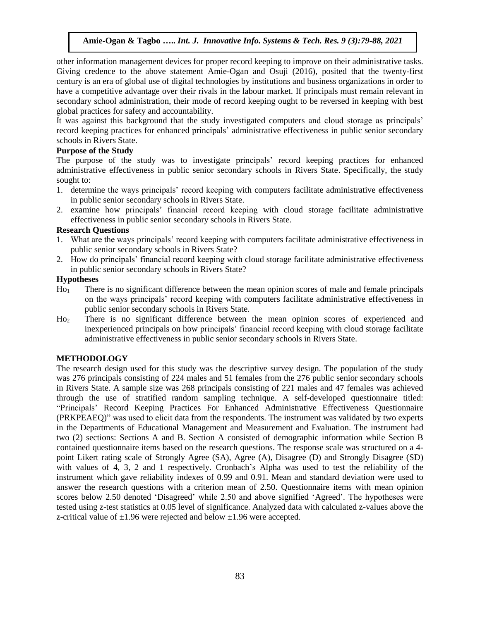other information management devices for proper record keeping to improve on their administrative tasks. Giving credence to the above statement Amie-Ogan and Osuji (2016), posited that the twenty-first century is an era of global use of digital technologies by institutions and business organizations in order to have a competitive advantage over their rivals in the labour market. If principals must remain relevant in secondary school administration, their mode of record keeping ought to be reversed in keeping with best global practices for safety and accountability.

It was against this background that the study investigated computers and cloud storage as principals' record keeping practices for enhanced principals' administrative effectiveness in public senior secondary schools in Rivers State.

# **Purpose of the Study**

The purpose of the study was to investigate principals' record keeping practices for enhanced administrative effectiveness in public senior secondary schools in Rivers State. Specifically, the study sought to:

- 1. determine the ways principals' record keeping with computers facilitate administrative effectiveness in public senior secondary schools in Rivers State.
- 2. examine how principals' financial record keeping with cloud storage facilitate administrative effectiveness in public senior secondary schools in Rivers State.

# **Research Questions**

- 1. What are the ways principals' record keeping with computers facilitate administrative effectiveness in public senior secondary schools in Rivers State?
- 2. How do principals' financial record keeping with cloud storage facilitate administrative effectiveness in public senior secondary schools in Rivers State?

# **Hypotheses**

- Ho<sup>1</sup> There is no significant difference between the mean opinion scores of male and female principals on the ways principals' record keeping with computers facilitate administrative effectiveness in public senior secondary schools in Rivers State.
- Ho<sup>2</sup> There is no significant difference between the mean opinion scores of experienced and inexperienced principals on how principals' financial record keeping with cloud storage facilitate administrative effectiveness in public senior secondary schools in Rivers State.

# **METHODOLOGY**

The research design used for this study was the descriptive survey design. The population of the study was 276 principals consisting of 224 males and 51 females from the 276 public senior secondary schools in Rivers State. A sample size was 268 principals consisting of 221 males and 47 females was achieved through the use of stratified random sampling technique. A self-developed questionnaire titled: "Principals' Record Keeping Practices For Enhanced Administrative Effectiveness Questionnaire (PRKPEAEQ)" was used to elicit data from the respondents. The instrument was validated by two experts in the Departments of Educational Management and Measurement and Evaluation. The instrument had two (2) sections: Sections A and B. Section A consisted of demographic information while Section B contained questionnaire items based on the research questions. The response scale was structured on a 4 point Likert rating scale of Strongly Agree (SA), Agree (A), Disagree (D) and Strongly Disagree (SD) with values of 4, 3, 2 and 1 respectively. Cronbach's Alpha was used to test the reliability of the instrument which gave reliability indexes of 0.99 and 0.91. Mean and standard deviation were used to answer the research questions with a criterion mean of 2.50. Questionnaire items with mean opinion scores below 2.50 denoted 'Disagreed' while 2.50 and above signified 'Agreed'. The hypotheses were tested using z-test statistics at 0.05 level of significance. Analyzed data with calculated z-values above the z-critical value of  $\pm 1.96$  were rejected and below  $\pm 1.96$  were accepted.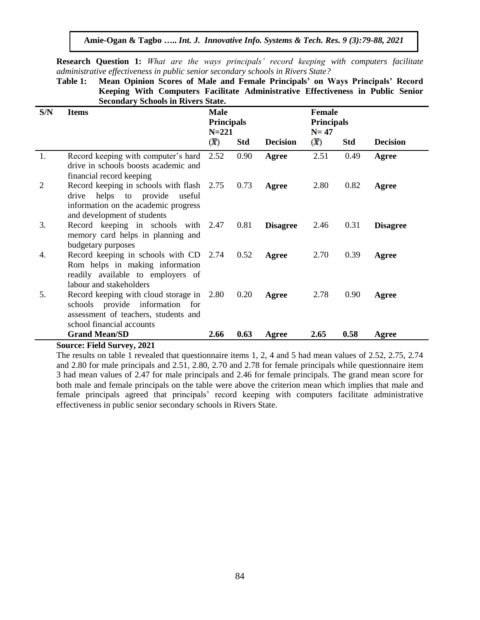**Research Question 1:** *What are the ways principals' record keeping with computers facilitate administrative effectiveness in public senior secondary schools in Rivers State?*

**Table 1: Mean Opinion Scores of Male and Female Principals' on Ways Principals' Record Keeping With Computers Facilitate Administrative Effectiveness in Public Senior Secondary Schools in Rivers State.**

| S/N | <b>Items</b>                                                                                                                                         | Male<br>$N = 221$ | <b>Principals</b> |                 |                           | <b>Female</b><br><b>Principals</b> |                 |
|-----|------------------------------------------------------------------------------------------------------------------------------------------------------|-------------------|-------------------|-----------------|---------------------------|------------------------------------|-----------------|
|     |                                                                                                                                                      | $(\overline{X})$  | <b>Std</b>        | <b>Decision</b> | $(\overline{\mathbf{X}})$ | <b>Std</b>                         | <b>Decision</b> |
| 1.  | Record keeping with computer's hard<br>drive in schools boosts academic and<br>financial record keeping                                              | 2.52              | 0.90              | Agree           | 2.51                      | 0.49                               | Agree           |
| 2   | Record keeping in schools with flash 2.75<br>drive<br>helps to provide useful<br>information on the academic progress<br>and development of students |                   | 0.73              | Agree           | 2.80                      | 0.82                               | Agree           |
| 3.  | Record keeping in schools with 2.47<br>memory card helps in planning and<br>budgetary purposes                                                       |                   | 0.81              | <b>Disagree</b> | 2.46                      | 0.31                               | <b>Disagree</b> |
| 4.  | Record keeping in schools with CD 2.74<br>Rom helps in making information<br>readily available to employers of<br>labour and stakeholders            |                   | 0.52              | Agree           | 2.70                      | 0.39                               | Agree           |
| 5.  | Record keeping with cloud storage in 2.80<br>schools provide information for<br>assessment of teachers, students and<br>school financial accounts    |                   | 0.20              | Agree           | 2.78                      | 0.90                               | Agree           |
|     | <b>Grand Mean/SD</b>                                                                                                                                 | 2.66              | 0.63              | Agree           | 2.65                      | 0.58                               | Agree           |

#### **Source: Field Survey, 2021**

The results on table 1 revealed that questionnaire items 1, 2, 4 and 5 had mean values of 2.52, 2.75, 2.74 and 2.80 for male principals and 2.51, 2.80, 2.70 and 2.78 for female principals while questionnaire item 3 had mean values of 2.47 for male principals and 2.46 for female principals. The grand mean score for both male and female principals on the table were above the criterion mean which implies that male and female principals agreed that principals' record keeping with computers facilitate administrative effectiveness in public senior secondary schools in Rivers State.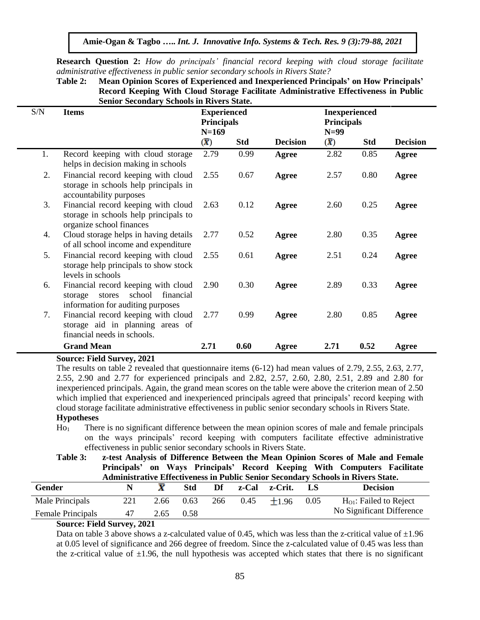**Amie-Ogan & Tagbo …..** *Int. J. Innovative Info. Systems & Tech. Res. 9 (3):79-88, 2021*

**Research Question 2:** *How do principals' financial record keeping with cloud storage facilitate administrative effectiveness in public senior secondary schools in Rivers State?*

| Table 2: Mean Opinion Scores of Experienced and Inexperienced Principals' on How Principals' |
|----------------------------------------------------------------------------------------------|
| Record Keeping With Cloud Storage Facilitate Administrative Effectiveness in Public          |
| <b>Senior Secondary Schools in Rivers State.</b>                                             |

| S/N            | <b>Items</b>                                                                                                         | <b>Experienced</b><br><b>Principals</b><br>$N=169$ |            |                 | <b>Inexperienced</b><br><b>Principals</b><br>$N=99$ |            |                 |
|----------------|----------------------------------------------------------------------------------------------------------------------|----------------------------------------------------|------------|-----------------|-----------------------------------------------------|------------|-----------------|
|                |                                                                                                                      | $(\overline{X})$                                   | <b>Std</b> | <b>Decision</b> | $(\overline{X})$                                    | <b>Std</b> | <b>Decision</b> |
| 1.             | Record keeping with cloud storage<br>helps in decision making in schools                                             | 2.79                                               | 0.99       | Agree           | 2.82                                                | 0.85       | Agree           |
| 2.             | Financial record keeping with cloud<br>storage in schools help principals in<br>accountability purposes              | 2.55                                               | 0.67       | Agree           | 2.57                                                | 0.80       | Agree           |
| 3.             | Financial record keeping with cloud<br>storage in schools help principals to<br>organize school finances             | 2.63                                               | 0.12       | Agree           | 2.60                                                | 0.25       | Agree           |
| 4.             | Cloud storage helps in having details<br>of all school income and expenditure                                        | 2.77                                               | 0.52       | Agree           | 2.80                                                | 0.35       | Agree           |
| 5 <sub>1</sub> | Financial record keeping with cloud<br>storage help principals to show stock<br>levels in schools                    | 2.55                                               | 0.61       | Agree           | 2.51                                                | 0.24       | Agree           |
| 6.             | Financial record keeping with cloud<br>school<br>financial<br>stores<br>storage<br>information for auditing purposes | 2.90                                               | 0.30       | Agree           | 2.89                                                | 0.33       | Agree           |
| 7.             | Financial record keeping with cloud<br>storage aid in planning areas of<br>financial needs in schools.               | 2.77                                               | 0.99       | Agree           | 2.80                                                | 0.85       | Agree           |
|                | <b>Grand Mean</b>                                                                                                    | 2.71                                               | 0.60       | Agree           | 2.71                                                | 0.52       | Agree           |

### **Source: Field Survey, 2021**

The results on table 2 revealed that questionnaire items (6-12) had mean values of 2.79, 2.55, 2.63, 2.77, 2.55, 2.90 and 2.77 for experienced principals and 2.82, 2.57, 2.60, 2.80, 2.51, 2.89 and 2.80 for inexperienced principals. Again, the grand mean scores on the table were above the criterion mean of 2.50 which implied that experienced and inexperienced principals agreed that principals' record keeping with cloud storage facilitate administrative effectiveness in public senior secondary schools in Rivers State.

# **Hypotheses**

- Ho<sup>1</sup> There is no significant difference between the mean opinion scores of male and female principals on the ways principals' record keeping with computers facilitate effective administrative effectiveness in public senior secondary schools in Rivers State.
- **Table 3: z-test Analysis of Difference Between the Mean Opinion Scores of Male and Female Principals' on Ways Principals' Record Keeping With Computers Facilitate Administrative Effectiveness in Public Senior Secondary Schools in Rivers State.**

| Gender                    |     |      | Std  | Df  | z-Cal | z-Crit. |      | <b>Decision</b>             |
|---------------------------|-----|------|------|-----|-------|---------|------|-----------------------------|
| Male Principals           | 221 | 2.66 | 0.63 | 266 | 0.45  | $+196$  | 0.05 | $H_{O1}$ : Failed to Reject |
| <b>Female Principals</b>  | 47  | 2.65 | 0.58 |     |       |         |      | No Significant Difference   |
| Course Field Current 2021 |     |      |      |     |       |         |      |                             |

# **Source: Field Survey, 2021**

Data on table 3 above shows a z-calculated value of 0.45, which was less than the z-critical value of  $\pm 1.96$ at 0.05 level of significance and 266 degree of freedom. Since the z-calculated value of 0.45 was less than the z-critical value of  $\pm 1.96$ , the null hypothesis was accepted which states that there is no significant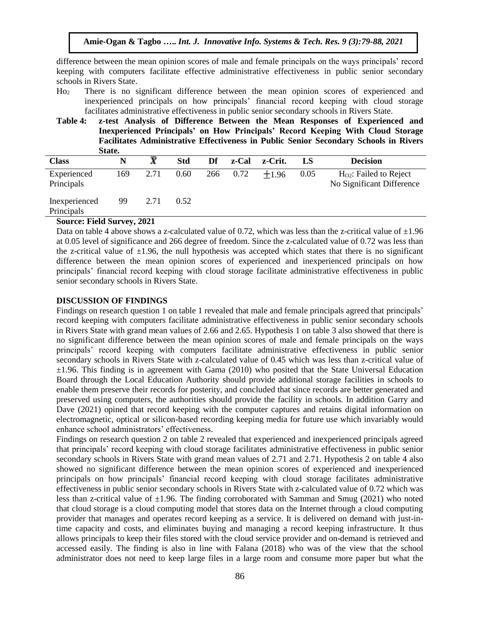difference between the mean opinion scores of male and female principals on the ways principals' record keeping with computers facilitate effective administrative effectiveness in public senior secondary schools in Rivers State.

- Ho<sup>2</sup> There is no significant difference between the mean opinion scores of experienced and inexperienced principals on how principals' financial record keeping with cloud storage facilitates administrative effectiveness in public senior secondary schools in Rivers State.
- **Table 4: z-test Analysis of Difference Between the Mean Responses of Experienced and Inexperienced Principals' on How Principals' Record Keeping With Cloud Storage Facilitates Administrative Effectiveness in Public Senior Secondary Schools in Rivers State.**

| <b>Class</b>                |     |      | <b>Std</b> | Df | z-Cal    | z-Crit. | LS   | <b>Decision</b>                                       |
|-----------------------------|-----|------|------------|----|----------|---------|------|-------------------------------------------------------|
| Experienced<br>Principals   | 169 | 2.71 | 0.60       |    | 266 0.72 | $+1.96$ | 0.05 | $HO2$ : Failed to Reject<br>No Significant Difference |
| Inexperienced<br>Principals | 99  | 2.71 | 0.52       |    |          |         |      |                                                       |

### **Source: Field Survey, 2021**

Data on table 4 above shows a z-calculated value of 0.72, which was less than the z-critical value of  $\pm 1.96$ at 0.05 level of significance and 266 degree of freedom. Since the z-calculated value of 0.72 was less than the z-critical value of  $\pm 1.96$ , the null hypothesis was accepted which states that there is no significant difference between the mean opinion scores of experienced and inexperienced principals on how principals' financial record keeping with cloud storage facilitate administrative effectiveness in public senior secondary schools in Rivers State.

# **DISCUSSION OF FINDINGS**

Findings on research question 1 on table 1 revealed that male and female principals agreed that principals' record keeping with computers facilitate administrative effectiveness in public senior secondary schools in Rivers State with grand mean values of 2.66 and 2.65. Hypothesis 1 on table 3 also showed that there is no significant difference between the mean opinion scores of male and female principals on the ways principals' record keeping with computers facilitate administrative effectiveness in public senior secondary schools in Rivers State with z-calculated value of 0.45 which was less than z-critical value of  $\pm 1.96$ . This finding is in agreement with Gama (2010) who posited that the State Universal Education Board through the Local Education Authority should provide additional storage facilities in schools to enable them preserve their records for posterity, and concluded that since records are better generated and preserved using computers, the authorities should provide the facility in schools. In addition Garry and Dave (2021) opined that record keeping with the computer captures and retains digital information on electromagnetic, optical or silicon-based recording keeping media for future use which invariably would enhance school administrators' effectiveness.

Findings on research question 2 on table 2 revealed that experienced and inexperienced principals agreed that principals' record keeping with cloud storage facilitates administrative effectiveness in public senior secondary schools in Rivers State with grand mean values of 2.71 and 2.71. Hypothesis 2 on table 4 also showed no significant difference between the mean opinion scores of experienced and inexperienced principals on how principals' financial record keeping with cloud storage facilitates administrative effectiveness in public senior secondary schools in Rivers State with z-calculated value of 0.72 which was less than z-critical value of  $\pm 1.96$ . The finding corroborated with Samman and Smug (2021) who noted that cloud storage is a cloud computing model that stores data on the Internet through a cloud computing provider that manages and operates record keeping as a service. It is delivered on demand with just-intime capacity and costs, and eliminates buying and managing a record keeping infrastructure. It thus allows principals to keep their files stored with the cloud service provider and on-demand is retrieved and accessed easily. The finding is also in line with Falana (2018) who was of the view that the school administrator does not need to keep large files in a large room and consume more paper but what the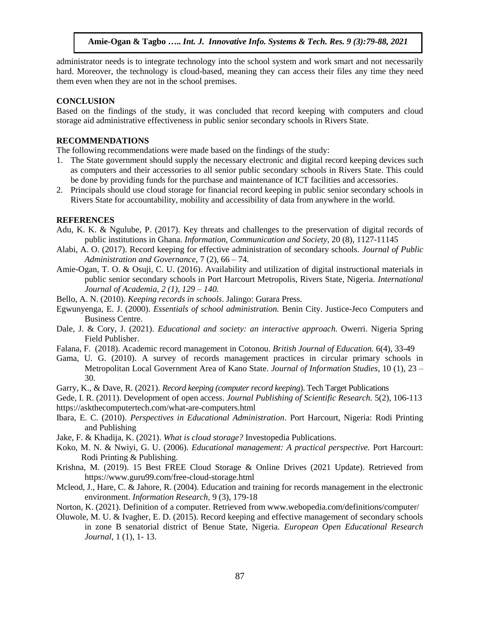administrator needs is to integrate technology into the school system and work smart and not necessarily hard. Moreover, the technology is cloud-based, meaning they can access their files any time they need them even when they are not in the school premises.

## **CONCLUSION**

Based on the findings of the study, it was concluded that record keeping with computers and cloud storage aid administrative effectiveness in public senior secondary schools in Rivers State.

## **RECOMMENDATIONS**

The following recommendations were made based on the findings of the study:

- 1. The State government should supply the necessary electronic and digital record keeping devices such as computers and their accessories to all senior public secondary schools in Rivers State. This could be done by providing funds for the purchase and maintenance of ICT facilities and accessories.
- 2. Principals should use cloud storage for financial record keeping in public senior secondary schools in Rivers State for accountability, mobility and accessibility of data from anywhere in the world.

## **REFERENCES**

- Adu, K. K. & Ngulube, P. (2017). Key threats and challenges to the preservation of digital records of public institutions in Ghana. *Information, Communication and Society,* 20 (8), 1127-11145
- Alabi, A. O. (2017). Record keeping for effective administration of secondary schools. *Journal of Public Administration and Governance,* 7 (2), 66 – 74.
- Amie-Ogan, T. O. & Osuji, C. U. (2016). Availability and utilization of digital instructional materials in public senior secondary schools in Port Harcourt Metropolis, Rivers State, Nigeria. *International Journal of Academia, 2 (1), 129 – 140.*
- Bello, A. N. (2010). *Keeping records in schools*. Jalingo: Gurara Press.
- Egwunyenga, E. J. (2000). *Essentials of school administration.* Benin City. Justice-Jeco Computers and Business Centre.
- Dale, J. & Cory, J. (2021). *Educational and society: an interactive approach.* Owerri. Nigeria Spring Field Publisher.
- Falana, F. (2018). Academic record management in Cotonou. *British Journal of Education.* 6(4), 33-49
- Gama, U. G. (2010). A survey of records management practices in circular primary schools in Metropolitan Local Government Area of Kano State. *Journal of Information Studies*, 10 (1), 23 – 30.
- [Garry, K.,](https://www.techtarget.com/contributor/Garry-Kranz) & Dave, R. (2021). *Record keeping (computer record keeping*). Tech Target Publications
- Gede, I. R. (2011). Development of open access. *Journal Publishing of Scientific Research.* 5(2), 106-113 https://askthecomputertech.com/what-are-computers.html
- Ibara, E. C. (2010). *Perspectives in Educational Administration*. Port Harcourt, Nigeria: Rodi Printing and Publishing
- [Jake, F.](https://www.investopedia.com/contributors/82577/) & [Khadija, K.](https://www.investopedia.com/khadija-khartit-4799776) (2021). *What is cloud storage?* Investopedia Publications.
- Koko, M. N. & Nwiyi, G. U. (2006). *Educational management: A practical perspective.* Port Harcourt: Rodi Printing & Publishing*.*
- Krishna, M. (2019). 15 Best FREE Cloud Storage & Online Drives (2021 Update). Retrieved from <https://www.guru99.com/free-cloud-storage.html>
- Mcleod, J., Hare, C. & Jahore, R. (2004). Education and training for records management in the electronic environment. *Information Research,* 9 (3), 179-18
- Norton, K. (2021). Definition of a computer. Retrieved from www.webopedia.com/definitions/computer/
- Oluwole, M. U. & Ivagher, E. D. (2015). Record keeping and effective management of secondary schools in zone B senatorial district of Benue State, Nigeria. *European Open Educational Research Journal*, 1 (1), 1- 13.